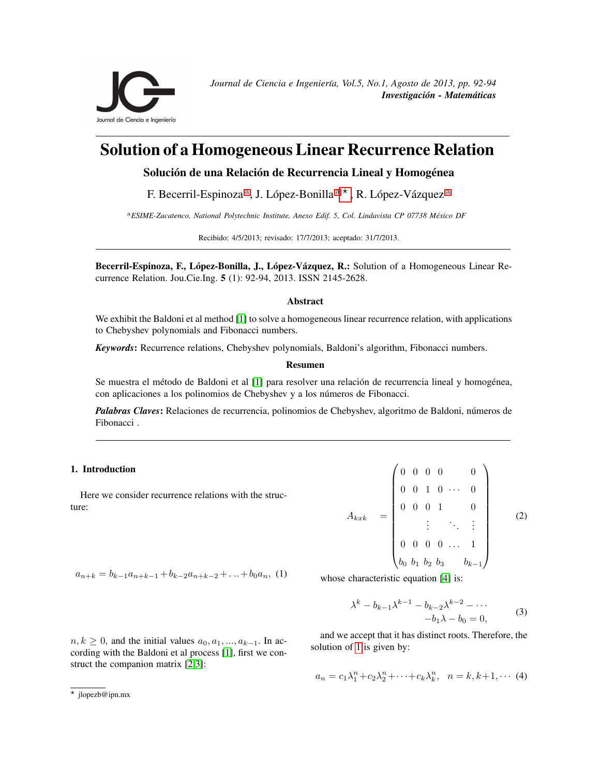<span id="page-0-0"></span>

# Solution of a Homogeneous Linear Recurrence Relation

Solución de una Relación de Recurrencia Lineal y Homogénea

F. Becerril-Espinoz[a](#page-0-0)<sup>a</sup>, J. López-Bonilla<sup>a \*</sup>, R. López-Vázquez<sup>a</sup>

<sup>a</sup>*ESIME-Zacatenco, National Polytechnic Institute, Anexo Edif. 5, Col. Lindavista CP 07738 Mexico DF ´*

Recibido: 4/5/2013; revisado: 17/7/2013; aceptado: 31/7/2013.

Becerril-Espinoza, F., López-Bonilla, J., López-Vázquez, R.: Solution of a Homogeneous Linear Recurrence Relation. Jou.Cie.Ing. 5 (1): 92-94, 2013. ISSN 2145-2628.

## Abstract

We exhibit the Baldoni et al method [\[1\]](#page-2-0) to solve a homogeneous linear recurrence relation, with applications to Chebyshev polynomials and Fibonacci numbers.

*Keywords*: Recurrence relations, Chebyshev polynomials, Baldoni's algorithm, Fibonacci numbers.

## Resumen

Se muestra el método de Baldoni et al [\[1\]](#page-2-0) para resolver una relación de recurrencia lineal y homogénea, con aplicaciones a los polinomios de Chebyshev y a los números de Fibonacci.

*Palabras Claves*: Relaciones de recurrencia, polinomios de Chebyshev, algoritmo de Baldoni, números de Fibonacci .

## 1. Introduction

Here we consider recurrence relations with the structure:

$$
A_{kxk} = \begin{pmatrix} 0 & 0 & 0 & 0 & 0 \\ 0 & 0 & 1 & 0 & \cdots & 0 \\ 0 & 0 & 0 & 1 & 0 & 0 \\ \vdots & \vdots & \ddots & \vdots & \vdots & \vdots \\ 0 & 0 & 0 & 0 & \cdots & 1 \\ b_0 & b_1 & b_2 & b_3 & b_{k-1} \end{pmatrix}
$$
 (2)

<span id="page-0-2"></span> $a_{n+k} = b_{k-1}a_{n+k-1} + b_{k-2}a_{n+k-2} + \ldots + b_0a_n$ , (1)

<span id="page-0-3"></span>whose characteristic equation [\[4\]](#page-2-3) is:

$$
\lambda^{k} - b_{k-1} \lambda^{k-1} - b_{k-2} \lambda^{k-2} - \cdots
$$
  
-b<sub>1</sub> $\lambda$  - b<sub>0</sub> = 0, (3)

and we accept that it has distinct roots. Therefore, the solution of [1](#page-0-2) is given by:

$$
n, k \ge 0
$$
, and the initial values  $a_0, a_1, ..., a_{k-1}$ . In according with the Baldoni et al process [1], first we construct the companion matrix [2,3]:

<span id="page-0-4"></span>
$$
a_n = c_1 \lambda_1^n + c_2 \lambda_2^n + \dots + c_k \lambda_k^n, \quad n = k, k+1, \dots (4)
$$

<span id="page-0-1"></span><sup>?</sup> jlopezb@ipn.mx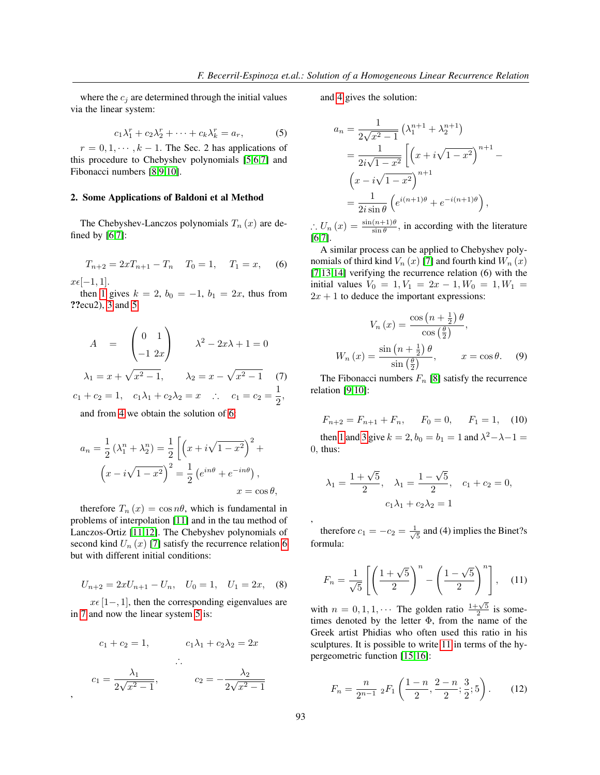where the  $c_i$  are determined through the initial values via the linear system:

<span id="page-1-0"></span>
$$
c_1\lambda_1^r + c_2\lambda_2^r + \cdots + c_k\lambda_k^r = a_r, \qquad (5)
$$

 $r = 0, 1, \dots, k - 1$ . The Sec. 2 has applications of this procedure to Chebyshev polynomials [\[5](#page-2-4)[,6](#page-2-5)[,7\]](#page-2-6) and Fibonacci numbers [\[8](#page-2-7)[,9](#page-2-8)[,10\]](#page-2-9).

## 2. Some Applications of Baldoni et al Method

The Chebyshev-Lanczos polynomials  $T_n(x)$  are defined by [\[6,](#page-2-5)[7\]](#page-2-6):

<span id="page-1-1"></span>
$$
T_{n+2} = 2xT_{n+1} - T_n \quad T_0 = 1, \quad T_1 = x,\tag{6}
$$

 $x\epsilon[-1, 1].$ 

,

then [1](#page-0-2) gives  $k = 2$ ,  $b_0 = -1$ ,  $b_1 = 2x$ , thus from ??ecu2), [3](#page-0-3) and [5](#page-1-0)

$$
A = \begin{pmatrix} 0 & 1 \\ -1 & 2x \end{pmatrix} \qquad \lambda^2 - 2x\lambda + 1 = 0
$$
  
\n
$$
\lambda_1 = x + \sqrt{x^2 - 1}, \qquad \lambda_2 = x - \sqrt{x^2 - 1} \qquad (7)
$$
  
\n
$$
c_1 + c_2 = 1, \quad c_1\lambda_1 + c_2\lambda_2 = x \quad \therefore \quad c_1 = c_2 = \frac{1}{2},
$$

<span id="page-1-2"></span>and from [4](#page-0-4) we obtain the solution of [6:](#page-1-1)

$$
a_n = \frac{1}{2} (\lambda_1^n + \lambda_2^n) = \frac{1}{2} \left[ \left( x + i\sqrt{1 - x^2} \right)^2 + \left( x - i\sqrt{1 - x^2} \right)^2 \right] = \frac{1}{2} \left( e^{in\theta} + e^{-in\theta} \right),
$$
  

$$
x = \cos \theta,
$$

therefore  $T_n(x) = \cos n\theta$ , which is fundamental in problems of interpolation [\[11\]](#page-2-10) and in the tau method of Lanczos-Ortiz [\[11](#page-2-10)[,12\]](#page-2-11). The Chebyshev polynomials of second kind  $U_n(x)$  [\[7\]](#page-2-6) satisfy the recurrence relation [6](#page-1-1) but with different initial conditions:

$$
U_{n+2} = 2xU_{n+1} - U_n, \quad U_0 = 1, \quad U_1 = 2x, \quad (8)
$$

 $x \in [1, 1]$ , then the corresponding eigenvalues are in [7](#page-1-2) and now the linear system [5](#page-1-0) is:

$$
c_1 + c_2 = 1,
$$
  
\n
$$
c_1 \lambda_1 + c_2 \lambda_2 = 2x
$$
  
\n
$$
\therefore
$$
  
\n
$$
c_1 = \frac{\lambda_1}{2\sqrt{x^2 - 1}},
$$
  
\n
$$
c_2 = -\frac{\lambda_2}{2\sqrt{x^2 - 1}}
$$

and [4](#page-0-4) gives the solution:

$$
a_n = \frac{1}{2\sqrt{x^2 - 1}} \left( \lambda_1^{n+1} + \lambda_2^{n+1} \right)
$$
  
= 
$$
\frac{1}{2i\sqrt{1 - x^2}} \left[ \left( x + i\sqrt{1 - x^2} \right)^{n+1} - \left( x - i\sqrt{1 - x^2} \right)^{n+1} \right]
$$
  
= 
$$
\frac{1}{2i\sin\theta} \left( e^{i(n+1)\theta} + e^{-i(n+1)\theta} \right),
$$

 $\therefore U_n(x) = \frac{\sin(n+1)\theta}{\sin \theta}$ , in according with the literature [\[6](#page-2-5)[,7\]](#page-2-6).

A similar process can be applied to Chebyshev polynomials of third kind  $V_n(x)$  [\[7\]](#page-2-6) and fourth kind  $W_n(x)$ [\[7](#page-2-6)[,13](#page-2-12)[,14\]](#page-2-13) verifying the recurrence relation (6) with the initial values  $V_0 = 1, V_1 = 2x - 1, W_0 = 1, W_1 =$  $2x + 1$  to deduce the important expressions:

$$
V_n(x) = \frac{\cos\left(n + \frac{1}{2}\right)\theta}{\cos\left(\frac{\theta}{2}\right)},
$$
  

$$
W_n(x) = \frac{\sin\left(n + \frac{1}{2}\right)\theta}{\sin\left(\frac{\theta}{2}\right)}, \qquad x = \cos\theta.
$$
 (9)

The Fibonacci numbers  $F_n$  [\[8\]](#page-2-7) satisfy the recurrence relation [\[9](#page-2-8)[,10\]](#page-2-9):

<span id="page-1-4"></span>
$$
F_{n+2} = F_{n+1} + F_n, \qquad F_0 = 0, \qquad F_1 = 1, \quad (10)
$$

then [1](#page-0-2) and [3](#page-0-3) give  $k = 2$ ,  $b_0 = b_1 = 1$  and  $\lambda^2 - \lambda - 1 =$ 0, thus:

$$
\lambda_1 = \frac{1 + \sqrt{5}}{2}
$$
,  $\lambda_1 = \frac{1 - \sqrt{5}}{2}$ ,  $c_1 + c_2 = 0$ ,  
\n $c_1 \lambda_1 + c_2 \lambda_2 = 1$ 

, therefore  $c_1 = -c_2 = \frac{1}{\sqrt{2}}$  $\frac{1}{5}$  and (4) implies the Binet?s formula:

<span id="page-1-3"></span>
$$
F_n = \frac{1}{\sqrt{5}} \left[ \left( \frac{1 + \sqrt{5}}{2} \right)^n - \left( \frac{1 - \sqrt{5}}{2} \right)^n \right], \quad (11)
$$

with  $n = 0, 1, 1, \cdots$  The golden ratio  $\frac{1+\sqrt{5}}{2}$  is sometimes denoted by the letter  $\Phi$ , from the name of the Greek artist Phidias who often used this ratio in his sculptures. It is possible to write [11](#page-1-3) in terms of the hypergeometric function [\[15](#page-2-14)[,16\]](#page-2-15):

$$
F_n = \frac{n}{2^{n-1}} \; _2F_1\left(\frac{1-n}{2}, \frac{2-n}{2}; \frac{3}{2}; 5\right). \tag{12}
$$